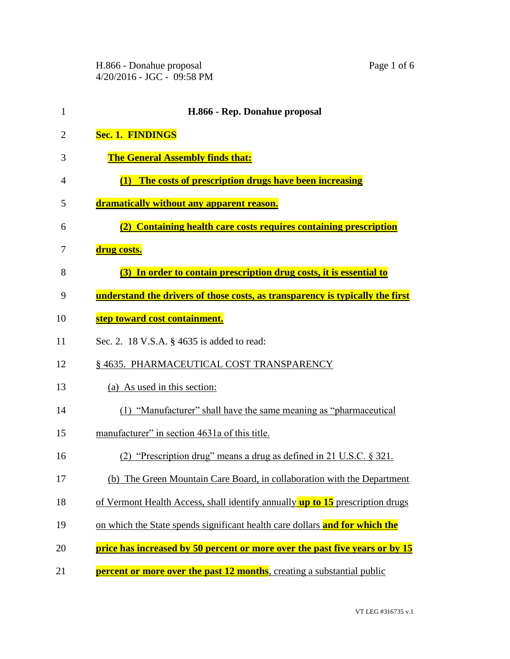H.866 - Donahue proposal Page 1 of 6 4/20/2016 - JGC - 09:58 PM

| $\mathbf{1}$ | H.866 - Rep. Donahue proposal                                                        |
|--------------|--------------------------------------------------------------------------------------|
| 2            | <b>Sec. 1. FINDINGS</b>                                                              |
| 3            | <b>The General Assembly finds that:</b>                                              |
| 4            | (1) The costs of prescription drugs have been increasing                             |
| 5            | dramatically without any apparent reason.                                            |
| 6            | (2) Containing health care costs requires containing prescription                    |
| 7            | drug costs.                                                                          |
| 8            | (3) In order to contain prescription drug costs, it is essential to                  |
| 9            | understand the drivers of those costs, as transparency is typically the first        |
| 10           | step toward cost containment.                                                        |
| 11           | Sec. 2. 18 V.S.A. § 4635 is added to read:                                           |
| 12           | § 4635. PHARMACEUTICAL COST TRANSPARENCY                                             |
| 13           | (a) As used in this section:                                                         |
| 14           | (1) "Manufacturer" shall have the same meaning as "pharmaceutical                    |
| 15           | manufacturer" in section 4631a of this title.                                        |
| 16           | "Prescription drug" means a drug as defined in 21 U.S.C. § 321.                      |
| 17           | (b) The Green Mountain Care Board, in collaboration with the Department              |
| 18           | of Vermont Health Access, shall identify annually <b>up to 15</b> prescription drugs |
| 19           | on which the State spends significant health care dollars and for which the          |
| 20           | price has increased by 50 percent or more over the past five years or by 15          |

**percent or more over the past 12 months**, creating a substantial public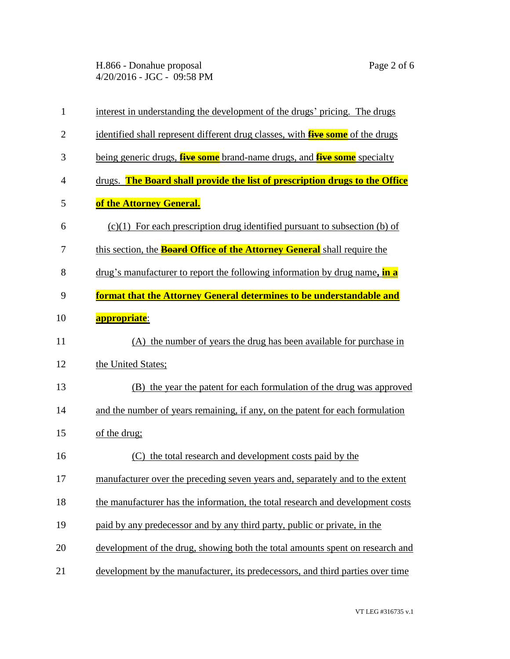H.866 - Donahue proposal Page 2 of 6 4/20/2016 - JGC - 09:58 PM

| $\mathbf{1}$   | interest in understanding the development of the drugs' pricing. The drugs             |
|----------------|----------------------------------------------------------------------------------------|
| $\overline{2}$ | identified shall represent different drug classes, with <b>five some</b> of the drugs  |
| 3              | being generic drugs, <b>five some</b> brand-name drugs, and <b>five some</b> specialty |
| $\overline{4}$ | drugs. The Board shall provide the list of prescription drugs to the Office            |
| 5              | of the Attorney General.                                                               |
| 6              | $(c)(1)$ For each prescription drug identified pursuant to subsection (b) of           |
| 7              | this section, the <b>Board Office of the Attorney General</b> shall require the        |
| 8              | drug's manufacturer to report the following information by drug name, in a             |
| 9              | format that the Attorney General determines to be understandable and                   |
| 10             | <b>appropriate</b> :                                                                   |
| 11             | (A) the number of years the drug has been available for purchase in                    |
| 12             | the United States;                                                                     |
| 13             | (B) the year the patent for each formulation of the drug was approved                  |
| 14             | and the number of years remaining, if any, on the patent for each formulation          |
| 15             | of the drug;                                                                           |
| 16             | the total research and development costs paid by the<br>(C)                            |
| 17             | manufacturer over the preceding seven years and, separately and to the extent          |
| 18             | the manufacturer has the information, the total research and development costs         |
| 19             | paid by any predecessor and by any third party, public or private, in the              |
| 20             | development of the drug, showing both the total amounts spent on research and          |
| 21             | development by the manufacturer, its predecessors, and third parties over time         |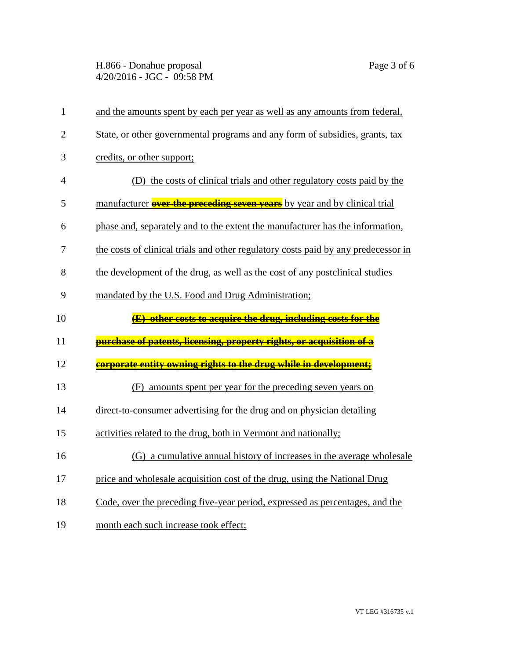H.866 - Donahue proposal Page 3 of 6 4/20/2016 - JGC - 09:58 PM

| $\mathbf{1}$   | and the amounts spent by each per year as well as any amounts from federal,        |
|----------------|------------------------------------------------------------------------------------|
| $\overline{2}$ | State, or other governmental programs and any form of subsidies, grants, tax       |
| 3              | credits, or other support;                                                         |
| $\overline{4}$ | (D) the costs of clinical trials and other regulatory costs paid by the            |
| 5              | manufacturer <b>over the preceding seven years</b> by year and by clinical trial   |
| 6              | phase and, separately and to the extent the manufacturer has the information,      |
| 7              | the costs of clinical trials and other regulatory costs paid by any predecessor in |
| 8              | the development of the drug, as well as the cost of any postclinical studies       |
| 9              | mandated by the U.S. Food and Drug Administration;                                 |
| 10             | (E) other costs to acquire the drug, including costs for the                       |
| 11             | <u>purchase of patents, licensing, property rights, or acquisition of a</u>        |
| 12             | corporate entity owning rights to the drug while in development;                   |
| 13             | amounts spent per year for the preceding seven years on<br>(F)                     |
| 14             | direct-to-consumer advertising for the drug and on physician detailing             |
| 15             | activities related to the drug, both in Vermont and nationally;                    |
| 16             | (G) a cumulative annual history of increases in the average wholesale              |
| $17\,$         | price and wholesale acquisition cost of the drug, using the National Drug          |
| 18             | Code, over the preceding five-year period, expressed as percentages, and the       |
| 19             | month each such increase took effect;                                              |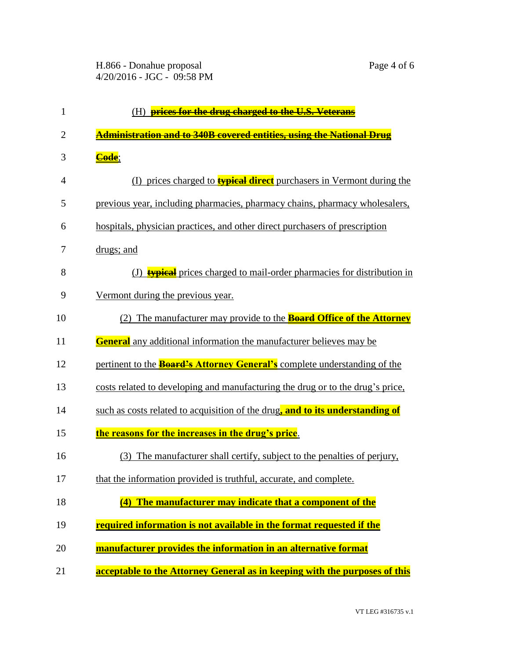| $\mathbf{1}$   | (H) prices for the drug charged to the U.S. Veterans                             |
|----------------|----------------------------------------------------------------------------------|
| $\overline{2}$ | Administration and to 340B covered entities, using the National Drug             |
| 3              | Code;                                                                            |
| 4              | (I) prices charged to <b>typical direct</b> purchasers in Vermont during the     |
| 5              | previous year, including pharmacies, pharmacy chains, pharmacy wholesalers,      |
| 6              | hospitals, physician practices, and other direct purchasers of prescription      |
| 7              | drugs; and                                                                       |
| 8              | (J) <b>typical</b> prices charged to mail-order pharmacies for distribution in   |
| 9              | Vermont during the previous year.                                                |
| 10             | (2) The manufacturer may provide to the <b>Board Office of the Attorney</b>      |
| 11             | <b>General</b> any additional information the manufacturer believes may be       |
| 12             | pertinent to the <b>Board's Attorney General's</b> complete understanding of the |
| 13             | costs related to developing and manufacturing the drug or to the drug's price,   |
| 14             | such as costs related to acquisition of the drug, and to its understanding of    |
| 15             | the reasons for the increases in the drug's price.                               |
| 16             | The manufacturer shall certify, subject to the penalties of perjury,<br>(3)      |
| 17             | that the information provided is truthful, accurate, and complete.               |
| 18             | The manufacturer may indicate that a component of the<br>(4)                     |
| 19             | required information is not available in the format requested if the             |
| 20             | manufacturer provides the information in an alternative format                   |
| 21             | acceptable to the Attorney General as in keeping with the purposes of this       |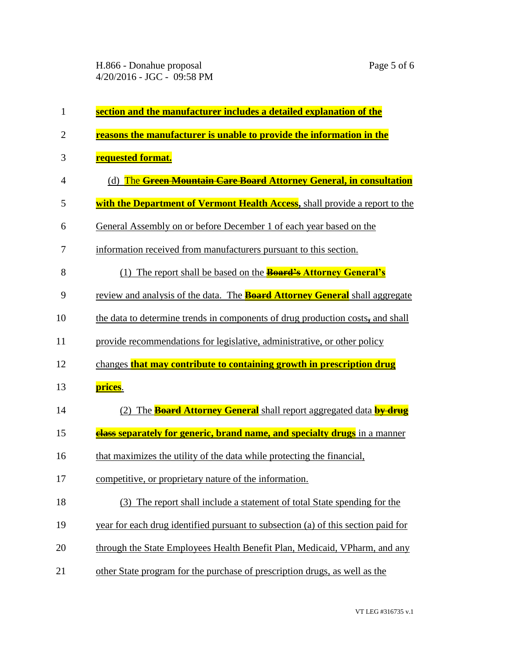| $\mathbf{1}$   | section and the manufacturer includes a detailed explanation of the                |
|----------------|------------------------------------------------------------------------------------|
| $\overline{2}$ | reasons the manufacturer is unable to provide the information in the               |
| 3              | <b>requested format.</b>                                                           |
| $\overline{4}$ | (d) The Green Mountain Care Board Attorney General, in consultation                |
| 5              | with the Department of Vermont Health Access, shall provide a report to the        |
| 6              | General Assembly on or before December 1 of each year based on the                 |
| 7              | information received from manufacturers pursuant to this section.                  |
| 8              | (1) The report shall be based on the <b>Board's Attorney General's</b>             |
| 9              | review and analysis of the data. The <b>Board Attorney General</b> shall aggregate |
| 10             | the data to determine trends in components of drug production costs, and shall     |
| 11             | provide recommendations for legislative, administrative, or other policy           |
| 12             | changes that may contribute to containing growth in prescription drug              |
| 13             | prices.                                                                            |
| 14             | (2) The <b>Board Attorney General</b> shall report aggregated data <b>by drug</b>  |
| 15             | <b>class separately for generic, brand name, and specialty drugs</b> in a manner   |
| 16             | that maximizes the utility of the data while protecting the financial,             |
| 17             | competitive, or proprietary nature of the information.                             |
| 18             | (3) The report shall include a statement of total State spending for the           |
| 19             | year for each drug identified pursuant to subsection (a) of this section paid for  |
| 20             | through the State Employees Health Benefit Plan, Medicaid, VPharm, and any         |
| 21             | other State program for the purchase of prescription drugs, as well as the         |